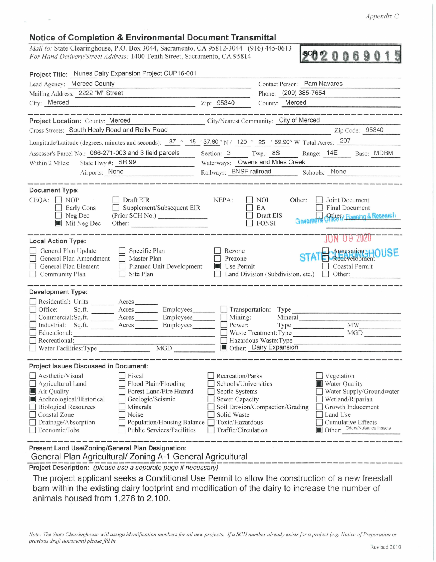*Appendix C* 

## **Notice of Completion & Environmental Document Transmittal**

*Mail to: State Clearinghouse, P.O. Box 3044, Sacramento, CA 95812-3044 (916) 445-0613* **SCH #** *For Hand Delivery/Street Address: 1400 Tenth Street, Sacramento, CA 95814* **In a state of the state of the state of the state** 

5

| Project Title: Nunes Dairy Expansion Project CUP16-001                                                                                                                                          |                                                                                                                                                  |
|-------------------------------------------------------------------------------------------------------------------------------------------------------------------------------------------------|--------------------------------------------------------------------------------------------------------------------------------------------------|
| Lead Agency: Merced County                                                                                                                                                                      | Contact Person: Pam Navares                                                                                                                      |
| Mailing Address: 2222 "M" Street                                                                                                                                                                | Phone: (209) 385-7654                                                                                                                            |
| City: Merced                                                                                                                                                                                    | County: Merced<br>Zip: 95340                                                                                                                     |
|                                                                                                                                                                                                 |                                                                                                                                                  |
| Project Location: County: Merced                                                                                                                                                                | City/Nearest Community: City of Merced                                                                                                           |
| Cross Streets: South Healy Road and Reilly Road                                                                                                                                                 | Zip Code: 95340                                                                                                                                  |
| Longitude/Latitude (degrees, minutes and seconds): 37 ° 15 ' 37.60" N / 120 ° 25 ' 59.90" W Total Acres: 207                                                                                    |                                                                                                                                                  |
| Assessor's Parcel No.: 066-271-003 and 3 field parcels                                                                                                                                          | Section: 3 Twp.: 8S Range: 14E Base: MDBM                                                                                                        |
| State Hwy #: $SR 99$<br>Within 2 Miles:                                                                                                                                                         | Waterways: Owens and Miles Creek                                                                                                                 |
| Airports: None                                                                                                                                                                                  | Railways: BNSF railroad ________ Schools: None                                                                                                   |
|                                                                                                                                                                                                 |                                                                                                                                                  |
| <b>Document Type:</b><br>$CEQA: \Box NOP$<br>Draft EIR<br>Supplement/Subsequent EIR<br>Early Cons<br>(Prior SCH No.)<br>Neg Dec<br>Mit Neg Dec                                                  | NEPA:<br>NOI<br>Other:<br>Joint Document<br>EA<br>Final Document<br>Draft EIS<br><b>Other Hanning &amp; Research</b><br>Governor<br><b>FONSI</b> |
| <b>Local Action Type:</b>                                                                                                                                                                       | JUN 09 ZUZU                                                                                                                                      |
| General Plan Update<br>$\Box$ Specific Plan<br>General Plan Amendment<br>$\Box$ Master Plan<br>Planned Unit Development<br>General Plan Element<br>$\Box$ Community Plan<br>Site Plan<br>$\Box$ | Rezone<br><b>STATE</b> Appexation HOUSE<br>Prezone<br>Use Permit<br>Coastal Permit<br>Land Division (Subdivision, etc.) $\Box$ Other:            |
| <b>Development Type:</b>                                                                                                                                                                        |                                                                                                                                                  |
| Residential: Units ________ Acres _______                                                                                                                                                       |                                                                                                                                                  |
| Sq.ft. _______ Acres ________ Employees _______ _ Transportation: Type<br>Office:                                                                                                               |                                                                                                                                                  |
| □ Commercial:Sq.ft. _______ Acres ________ Employees _______ □ Mining:<br>Industrial: Sq.ft. ______ Acres ______ Employees _____                                                                | Mineral<br>MW<br>Power:                                                                                                                          |
| $\Box$ Educational:                                                                                                                                                                             | MGD<br>Waste Treatment: Type                                                                                                                     |
| $\Box$ Recreational:                                                                                                                                                                            | Hazardous Waste: Type                                                                                                                            |
| MGD                                                                                                                                                                                             | Other: Dairy Expansion                                                                                                                           |
| <b>Project Issues Discussed in Document:</b>                                                                                                                                                    |                                                                                                                                                  |
| Aesthetic/Visual<br>Fiscal                                                                                                                                                                      | Recreation/Parks<br>Vegetation                                                                                                                   |
| Flood Plain/Flooding<br>Agricultural Land                                                                                                                                                       | Schools/Universities<br><b>Water Quality</b>                                                                                                     |
| Air Quality<br>Forest Land/Fire Hazard                                                                                                                                                          | Septic Systems<br>Water Supply/Groundwater                                                                                                       |
| Archeological/Historical<br>Geologic/Seismic                                                                                                                                                    | <b>Sewer Capacity</b><br>Wetland/Riparian                                                                                                        |
| <b>Biological Resources</b><br>Minerals                                                                                                                                                         | Soil Erosion/Compaction/Grading<br>Growth Inducement                                                                                             |
| Coastal Zone<br>Noise<br>Drainage/Absorption<br>Population/Housing Balance                                                                                                                      | Solid Waste<br>Land Use<br>Toxic/Hazardous<br><b>Cumulative Effects</b>                                                                          |
| <b>Public Services/Facilities</b><br>Economic/Jobs                                                                                                                                              | Other: Odors/Nuisance Insects<br>Traffic/Circulation                                                                                             |
|                                                                                                                                                                                                 |                                                                                                                                                  |
| Present Land Use/Zoning/General Plan Designation:                                                                                                                                               |                                                                                                                                                  |

General Plan Agricultural/ Zoning A-1 General Agricultural

---- **Project** --- **Description:** -------------------------------------------- (please use a separate page if necessary) -----------

The project applicant seeks a Conditional Use Permit to allow the construction of a new freestall barn within the existing dairy footprint and modification of the dairy to increase the number of animals housed from 1,276 to 2,100.